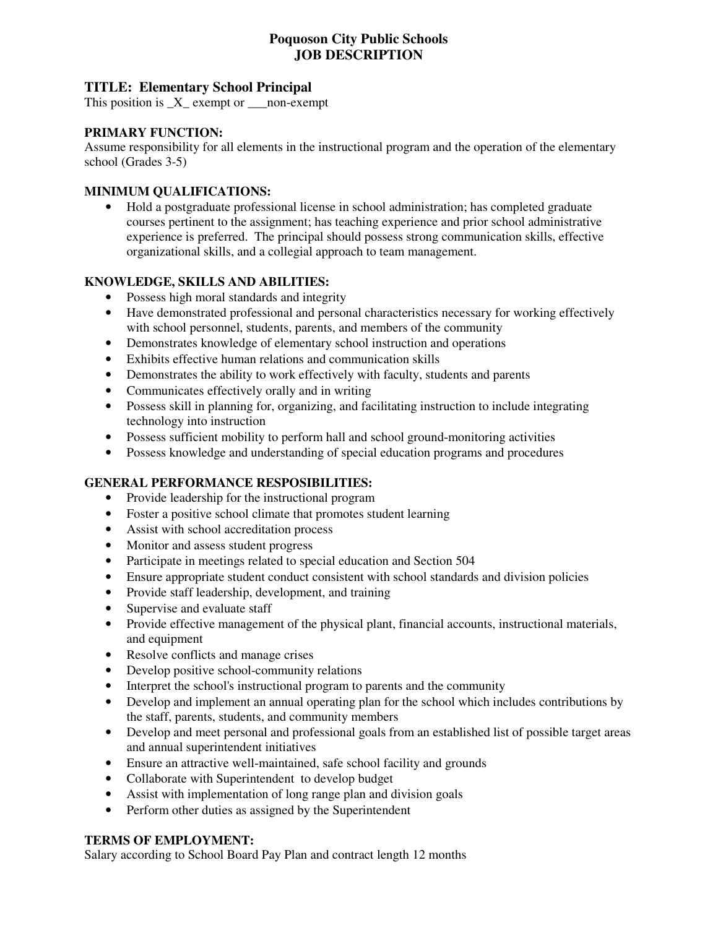# **Poquoson City Public Schools JOB DESCRIPTION**

# **TITLE: Elementary School Principal**

This position is  $_X$  exempt or \_\_\_\_non-exempt

### **PRIMARY FUNCTION:**

Assume responsibility for all elements in the instructional program and the operation of the elementary school (Grades 3-5)

#### **MINIMUM QUALIFICATIONS:**

• Hold a postgraduate professional license in school administration; has completed graduate courses pertinent to the assignment; has teaching experience and prior school administrative experience is preferred. The principal should possess strong communication skills, effective organizational skills, and a collegial approach to team management.

### **KNOWLEDGE, SKILLS AND ABILITIES:**

- Possess high moral standards and integrity
- Have demonstrated professional and personal characteristics necessary for working effectively with school personnel, students, parents, and members of the community
- Demonstrates knowledge of elementary school instruction and operations
- Exhibits effective human relations and communication skills
- Demonstrates the ability to work effectively with faculty, students and parents
- Communicates effectively orally and in writing
- Possess skill in planning for, organizing, and facilitating instruction to include integrating technology into instruction
- Possess sufficient mobility to perform hall and school ground-monitoring activities
- Possess knowledge and understanding of special education programs and procedures

### **GENERAL PERFORMANCE RESPOSIBILITIES:**

- Provide leadership for the instructional program
- Foster a positive school climate that promotes student learning
- Assist with school accreditation process
- Monitor and assess student progress
- Participate in meetings related to special education and Section 504
- Ensure appropriate student conduct consistent with school standards and division policies
- Provide staff leadership, development, and training
- Supervise and evaluate staff
- Provide effective management of the physical plant, financial accounts, instructional materials, and equipment
- Resolve conflicts and manage crises
- Develop positive school-community relations
- Interpret the school's instructional program to parents and the community
- Develop and implement an annual operating plan for the school which includes contributions by the staff, parents, students, and community members
- Develop and meet personal and professional goals from an established list of possible target areas and annual superintendent initiatives
- Ensure an attractive well-maintained, safe school facility and grounds
- Collaborate with Superintendent to develop budget
- Assist with implementation of long range plan and division goals
- Perform other duties as assigned by the Superintendent

#### **TERMS OF EMPLOYMENT:**

Salary according to School Board Pay Plan and contract length 12 months